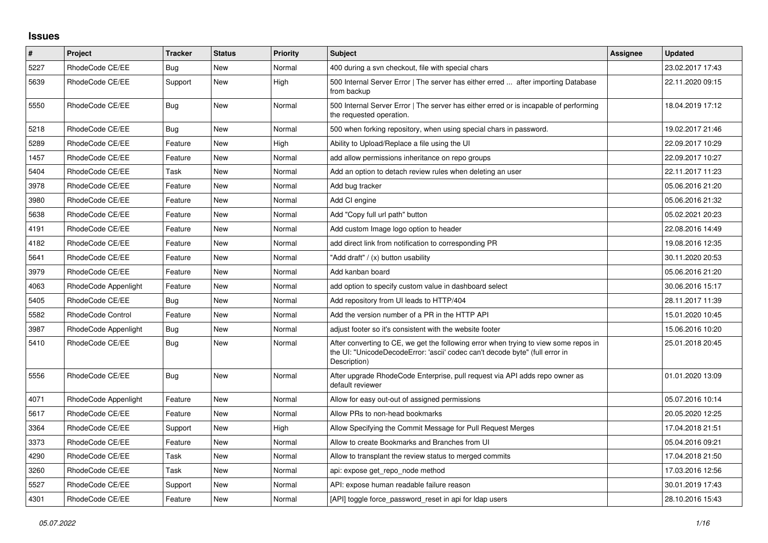## **Issues**

| $\pmb{\sharp}$ | <b>Project</b>       | <b>Tracker</b> | <b>Status</b> | <b>Priority</b> | <b>Subject</b>                                                                                                                                                                       | Assignee | <b>Updated</b>   |
|----------------|----------------------|----------------|---------------|-----------------|--------------------------------------------------------------------------------------------------------------------------------------------------------------------------------------|----------|------------------|
| 5227           | RhodeCode CE/EE      | Bug            | <b>New</b>    | Normal          | 400 during a svn checkout, file with special chars                                                                                                                                   |          | 23.02.2017 17:43 |
| 5639           | RhodeCode CE/EE      | Support        | <b>New</b>    | High            | 500 Internal Server Error   The server has either erred  after importing Database<br>from backup                                                                                     |          | 22.11.2020 09:15 |
| 5550           | RhodeCode CE/EE      | <b>Bug</b>     | New           | Normal          | 500 Internal Server Error   The server has either erred or is incapable of performing<br>the requested operation.                                                                    |          | 18.04.2019 17:12 |
| 5218           | RhodeCode CE/EE      | Bug            | <b>New</b>    | Normal          | 500 when forking repository, when using special chars in password.                                                                                                                   |          | 19.02.2017 21:46 |
| 5289           | RhodeCode CE/EE      | Feature        | New           | High            | Ability to Upload/Replace a file using the UI                                                                                                                                        |          | 22.09.2017 10:29 |
| 1457           | RhodeCode CE/EE      | Feature        | New           | Normal          | add allow permissions inheritance on repo groups                                                                                                                                     |          | 22.09.2017 10:27 |
| 5404           | RhodeCode CE/EE      | Task           | <b>New</b>    | Normal          | Add an option to detach review rules when deleting an user                                                                                                                           |          | 22.11.2017 11:23 |
| 3978           | RhodeCode CE/EE      | Feature        | <b>New</b>    | Normal          | Add bug tracker                                                                                                                                                                      |          | 05.06.2016 21:20 |
| 3980           | RhodeCode CE/EE      | Feature        | <b>New</b>    | Normal          | Add CI engine                                                                                                                                                                        |          | 05.06.2016 21:32 |
| 5638           | RhodeCode CE/EE      | Feature        | <b>New</b>    | Normal          | Add "Copy full url path" button                                                                                                                                                      |          | 05.02.2021 20:23 |
| 4191           | RhodeCode CE/EE      | Feature        | <b>New</b>    | Normal          | Add custom Image logo option to header                                                                                                                                               |          | 22.08.2016 14:49 |
| 4182           | RhodeCode CE/EE      | Feature        | New           | Normal          | add direct link from notification to corresponding PR                                                                                                                                |          | 19.08.2016 12:35 |
| 5641           | RhodeCode CE/EE      | Feature        | <b>New</b>    | Normal          | 'Add draft" / (x) button usability                                                                                                                                                   |          | 30.11.2020 20:53 |
| 3979           | RhodeCode CE/EE      | Feature        | <b>New</b>    | Normal          | Add kanban board                                                                                                                                                                     |          | 05.06.2016 21:20 |
| 4063           | RhodeCode Appenlight | Feature        | <b>New</b>    | Normal          | add option to specify custom value in dashboard select                                                                                                                               |          | 30.06.2016 15:17 |
| 5405           | RhodeCode CE/EE      | Bug            | <b>New</b>    | Normal          | Add repository from UI leads to HTTP/404                                                                                                                                             |          | 28.11.2017 11:39 |
| 5582           | RhodeCode Control    | Feature        | <b>New</b>    | Normal          | Add the version number of a PR in the HTTP API                                                                                                                                       |          | 15.01.2020 10:45 |
| 3987           | RhodeCode Appenlight | Bug            | New           | Normal          | adjust footer so it's consistent with the website footer                                                                                                                             |          | 15.06.2016 10:20 |
| 5410           | RhodeCode CE/EE      | <b>Bug</b>     | <b>New</b>    | Normal          | After converting to CE, we get the following error when trying to view some repos in<br>the UI: "UnicodeDecodeError: 'ascii' codec can't decode byte" (full error in<br>Description) |          | 25.01.2018 20:45 |
| 5556           | RhodeCode CE/EE      | Bug            | <b>New</b>    | Normal          | After upgrade RhodeCode Enterprise, pull request via API adds repo owner as<br>default reviewer                                                                                      |          | 01.01.2020 13:09 |
| 4071           | RhodeCode Appenlight | Feature        | <b>New</b>    | Normal          | Allow for easy out-out of assigned permissions                                                                                                                                       |          | 05.07.2016 10:14 |
| 5617           | RhodeCode CE/EE      | Feature        | <b>New</b>    | Normal          | Allow PRs to non-head bookmarks                                                                                                                                                      |          | 20.05.2020 12:25 |
| 3364           | RhodeCode CE/EE      | Support        | <b>New</b>    | High            | Allow Specifying the Commit Message for Pull Request Merges                                                                                                                          |          | 17.04.2018 21:51 |
| 3373           | RhodeCode CE/EE      | Feature        | <b>New</b>    | Normal          | Allow to create Bookmarks and Branches from UI                                                                                                                                       |          | 05.04.2016 09:21 |
| 4290           | RhodeCode CE/EE      | Task           | <b>New</b>    | Normal          | Allow to transplant the review status to merged commits                                                                                                                              |          | 17.04.2018 21:50 |
| 3260           | RhodeCode CE/EE      | Task           | New           | Normal          | api: expose get repo node method                                                                                                                                                     |          | 17.03.2016 12:56 |
| 5527           | RhodeCode CE/EE      | Support        | <b>New</b>    | Normal          | API: expose human readable failure reason                                                                                                                                            |          | 30.01.2019 17:43 |
| 4301           | RhodeCode CE/EE      | Feature        | <b>New</b>    | Normal          | [API] toggle force password reset in api for Idap users                                                                                                                              |          | 28.10.2016 15:43 |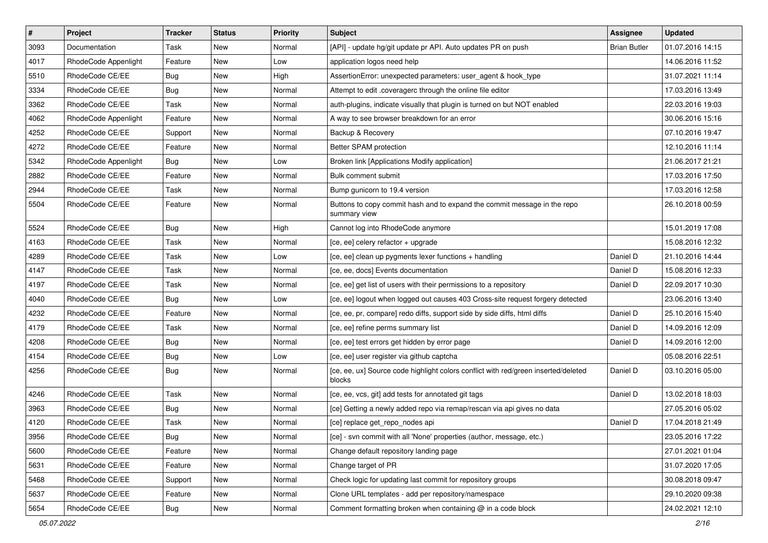| $\vert$ # | Project              | <b>Tracker</b> | <b>Status</b> | <b>Priority</b> | <b>Subject</b>                                                                               | Assignee            | <b>Updated</b>   |
|-----------|----------------------|----------------|---------------|-----------------|----------------------------------------------------------------------------------------------|---------------------|------------------|
| 3093      | Documentation        | Task           | New           | Normal          | [API] - update hg/git update pr API. Auto updates PR on push                                 | <b>Brian Butler</b> | 01.07.2016 14:15 |
| 4017      | RhodeCode Appenlight | Feature        | New           | Low             | application logos need help                                                                  |                     | 14.06.2016 11:52 |
| 5510      | RhodeCode CE/EE      | Bug            | New           | High            | AssertionError: unexpected parameters: user agent & hook type                                |                     | 31.07.2021 11:14 |
| 3334      | RhodeCode CE/EE      | <b>Bug</b>     | New           | Normal          | Attempt to edit .coveragerc through the online file editor                                   |                     | 17.03.2016 13:49 |
| 3362      | RhodeCode CE/EE      | Task           | New           | Normal          | auth-plugins, indicate visually that plugin is turned on but NOT enabled                     |                     | 22.03.2016 19:03 |
| 4062      | RhodeCode Appenlight | Feature        | New           | Normal          | A way to see browser breakdown for an error                                                  |                     | 30.06.2016 15:16 |
| 4252      | RhodeCode CE/EE      | Support        | New           | Normal          | Backup & Recovery                                                                            |                     | 07.10.2016 19:47 |
| 4272      | RhodeCode CE/EE      | Feature        | New           | Normal          | Better SPAM protection                                                                       |                     | 12.10.2016 11:14 |
| 5342      | RhodeCode Appenlight | Bug            | New           | Low             | Broken link [Applications Modify application]                                                |                     | 21.06.2017 21:21 |
| 2882      | RhodeCode CE/EE      | Feature        | New           | Normal          | Bulk comment submit                                                                          |                     | 17.03.2016 17:50 |
| 2944      | RhodeCode CE/EE      | Task           | New           | Normal          | Bump gunicorn to 19.4 version                                                                |                     | 17.03.2016 12:58 |
| 5504      | RhodeCode CE/EE      | Feature        | New           | Normal          | Buttons to copy commit hash and to expand the commit message in the repo<br>summary view     |                     | 26.10.2018 00:59 |
| 5524      | RhodeCode CE/EE      | Bug            | New           | High            | Cannot log into RhodeCode anymore                                                            |                     | 15.01.2019 17:08 |
| 4163      | RhodeCode CE/EE      | Task           | New           | Normal          | [ce, ee] celery refactor + upgrade                                                           |                     | 15.08.2016 12:32 |
| 4289      | RhodeCode CE/EE      | Task           | New           | Low             | [ce, ee] clean up pygments lexer functions + handling                                        | Daniel D            | 21.10.2016 14:44 |
| 4147      | RhodeCode CE/EE      | Task           | New           | Normal          | [ce, ee, docs] Events documentation                                                          | Daniel D            | 15.08.2016 12:33 |
| 4197      | RhodeCode CE/EE      | Task           | New           | Normal          | [ce, ee] get list of users with their permissions to a repository                            | Daniel D            | 22.09.2017 10:30 |
| 4040      | RhodeCode CE/EE      | Bug            | New           | Low             | [ce, ee] logout when logged out causes 403 Cross-site request forgery detected               |                     | 23.06.2016 13:40 |
| 4232      | RhodeCode CE/EE      | Feature        | New           | Normal          | [ce, ee, pr, compare] redo diffs, support side by side diffs, html diffs                     | Daniel D            | 25.10.2016 15:40 |
| 4179      | RhodeCode CE/EE      | Task           | New           | Normal          | [ce, ee] refine perms summary list                                                           | Daniel D            | 14.09.2016 12:09 |
| 4208      | RhodeCode CE/EE      | <b>Bug</b>     | New           | Normal          | [ce, ee] test errors get hidden by error page                                                | Daniel D            | 14.09.2016 12:00 |
| 4154      | RhodeCode CE/EE      | <b>Bug</b>     | New           | Low             | [ce, ee] user register via github captcha                                                    |                     | 05.08.2016 22:51 |
| 4256      | RhodeCode CE/EE      | Bug            | New           | Normal          | [ce, ee, ux] Source code highlight colors conflict with red/green inserted/deleted<br>blocks | Daniel D            | 03.10.2016 05:00 |
| 4246      | RhodeCode CE/EE      | Task           | New           | Normal          | [ce, ee, vcs, git] add tests for annotated git tags                                          | Daniel D            | 13.02.2018 18:03 |
| 3963      | RhodeCode CE/EE      | <b>Bug</b>     | New           | Normal          | [ce] Getting a newly added repo via remap/rescan via api gives no data                       |                     | 27.05.2016 05:02 |
| 4120      | RhodeCode CE/EE      | Task           | New           | Normal          | [ce] replace get repo nodes api                                                              | Daniel D            | 17.04.2018 21:49 |
| 3956      | RhodeCode CE/EE      | <b>Bug</b>     | New           | Normal          | [ce] - svn commit with all 'None' properties (author, message, etc.)                         |                     | 23.05.2016 17:22 |
| 5600      | RhodeCode CE/EE      | Feature        | New           | Normal          | Change default repository landing page                                                       |                     | 27.01.2021 01:04 |
| 5631      | RhodeCode CE/EE      | Feature        | New           | Normal          | Change target of PR                                                                          |                     | 31.07.2020 17:05 |
| 5468      | RhodeCode CE/EE      | Support        | New           | Normal          | Check logic for updating last commit for repository groups                                   |                     | 30.08.2018 09:47 |
| 5637      | RhodeCode CE/EE      | Feature        | New           | Normal          | Clone URL templates - add per repository/namespace                                           |                     | 29.10.2020 09:38 |
| 5654      | RhodeCode CE/EE      | <b>Bug</b>     | New           | Normal          | Comment formatting broken when containing @ in a code block                                  |                     | 24.02.2021 12:10 |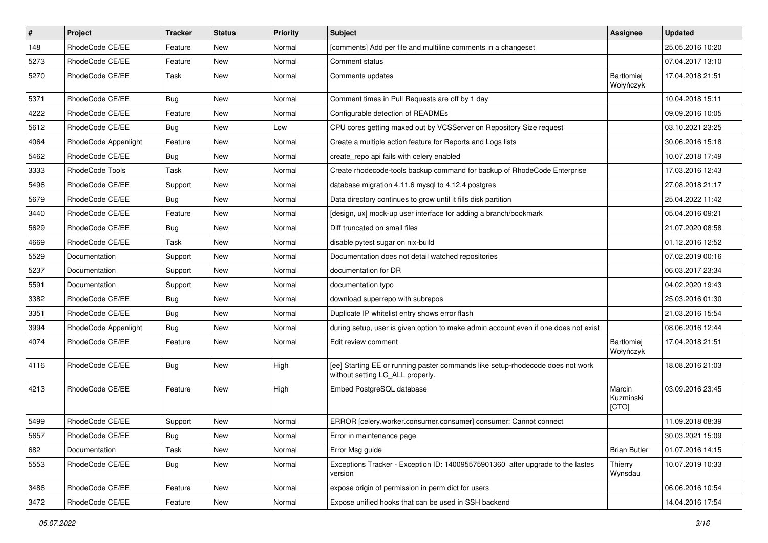| $\pmb{\#}$ | Project              | <b>Tracker</b> | <b>Status</b> | <b>Priority</b> | <b>Subject</b>                                                                                                     | <b>Assignee</b>              | <b>Updated</b>   |
|------------|----------------------|----------------|---------------|-----------------|--------------------------------------------------------------------------------------------------------------------|------------------------------|------------------|
| 148        | RhodeCode CE/EE      | Feature        | New           | Normal          | [comments] Add per file and multiline comments in a changeset                                                      |                              | 25.05.2016 10:20 |
| 5273       | RhodeCode CE/EE      | Feature        | <b>New</b>    | Normal          | Comment status                                                                                                     |                              | 07.04.2017 13:10 |
| 5270       | RhodeCode CE/EE      | Task           | New           | Normal          | Comments updates                                                                                                   | Bartłomiej<br>Wołyńczyk      | 17.04.2018 21:51 |
| 5371       | RhodeCode CE/EE      | Bug            | <b>New</b>    | Normal          | Comment times in Pull Requests are off by 1 day                                                                    |                              | 10.04.2018 15:11 |
| 4222       | RhodeCode CE/EE      | Feature        | New           | Normal          | Configurable detection of READMEs                                                                                  |                              | 09.09.2016 10:05 |
| 5612       | RhodeCode CE/EE      | Bug            | New           | Low             | CPU cores getting maxed out by VCSServer on Repository Size request                                                |                              | 03.10.2021 23:25 |
| 4064       | RhodeCode Appenlight | Feature        | New           | Normal          | Create a multiple action feature for Reports and Logs lists                                                        |                              | 30.06.2016 15:18 |
| 5462       | RhodeCode CE/EE      | Bug            | New           | Normal          | create_repo api fails with celery enabled                                                                          |                              | 10.07.2018 17:49 |
| 3333       | RhodeCode Tools      | Task           | <b>New</b>    | Normal          | Create rhodecode-tools backup command for backup of RhodeCode Enterprise                                           |                              | 17.03.2016 12:43 |
| 5496       | RhodeCode CE/EE      | Support        | New           | Normal          | database migration 4.11.6 mysql to 4.12.4 postgres                                                                 |                              | 27.08.2018 21:17 |
| 5679       | RhodeCode CE/EE      | Bug            | New           | Normal          | Data directory continues to grow until it fills disk partition                                                     |                              | 25.04.2022 11:42 |
| 3440       | RhodeCode CE/EE      | Feature        | New           | Normal          | [design, ux] mock-up user interface for adding a branch/bookmark                                                   |                              | 05.04.2016 09:21 |
| 5629       | RhodeCode CE/EE      | Bug            | New           | Normal          | Diff truncated on small files                                                                                      |                              | 21.07.2020 08:58 |
| 4669       | RhodeCode CE/EE      | Task           | New           | Normal          | disable pytest sugar on nix-build                                                                                  |                              | 01.12.2016 12:52 |
| 5529       | Documentation        | Support        | New           | Normal          | Documentation does not detail watched repositories                                                                 |                              | 07.02.2019 00:16 |
| 5237       | Documentation        | Support        | New           | Normal          | documentation for DR                                                                                               |                              | 06.03.2017 23:34 |
| 5591       | Documentation        | Support        | <b>New</b>    | Normal          | documentation typo                                                                                                 |                              | 04.02.2020 19:43 |
| 3382       | RhodeCode CE/EE      | <b>Bug</b>     | New           | Normal          | download superrepo with subrepos                                                                                   |                              | 25.03.2016 01:30 |
| 3351       | RhodeCode CE/EE      | Bug            | New           | Normal          | Duplicate IP whitelist entry shows error flash                                                                     |                              | 21.03.2016 15:54 |
| 3994       | RhodeCode Appenlight | Bug            | New           | Normal          | during setup, user is given option to make admin account even if one does not exist                                |                              | 08.06.2016 12:44 |
| 4074       | RhodeCode CE/EE      | Feature        | New           | Normal          | Edit review comment                                                                                                | Bartłomiej<br>Wołyńczyk      | 17.04.2018 21:51 |
| 4116       | RhodeCode CE/EE      | Bug            | New           | High            | [ee] Starting EE or running paster commands like setup-rhodecode does not work<br>without setting LC_ALL properly. |                              | 18.08.2016 21:03 |
| 4213       | RhodeCode CE/EE      | Feature        | <b>New</b>    | High            | Embed PostgreSQL database                                                                                          | Marcin<br>Kuzminski<br>[CTO] | 03.09.2016 23:45 |
| 5499       | RhodeCode CE/EE      | Support        | <b>New</b>    | Normal          | ERROR [celery.worker.consumer.consumer] consumer: Cannot connect                                                   |                              | 11.09.2018 08:39 |
| 5657       | RhodeCode CE/EE      | <b>Bug</b>     | New           | Normal          | Error in maintenance page                                                                                          |                              | 30.03.2021 15:09 |
| 682        | Documentation        | Task           | <b>New</b>    | Normal          | Error Msg guide                                                                                                    | <b>Brian Butler</b>          | 01.07.2016 14:15 |
| 5553       | RhodeCode CE/EE      | <b>Bug</b>     | New           | Normal          | Exceptions Tracker - Exception ID: 140095575901360 after upgrade to the lastes<br>version                          | Thierry<br>Wynsdau           | 10.07.2019 10:33 |
| 3486       | RhodeCode CE/EE      | Feature        | New           | Normal          | expose origin of permission in perm dict for users                                                                 |                              | 06.06.2016 10:54 |
| 3472       | RhodeCode CE/EE      | Feature        | New           | Normal          | Expose unified hooks that can be used in SSH backend                                                               |                              | 14.04.2016 17:54 |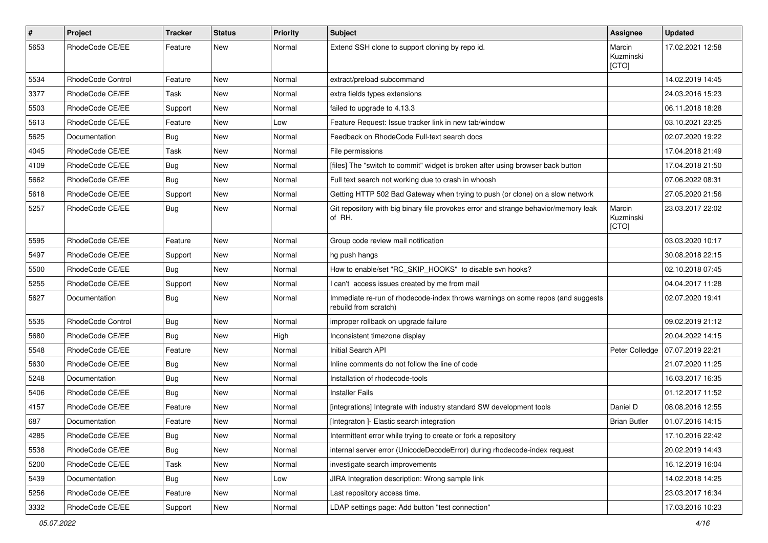| $\#$ | Project           | Tracker    | <b>Status</b> | <b>Priority</b> | <b>Subject</b>                                                                                           | Assignee                     | <b>Updated</b>   |
|------|-------------------|------------|---------------|-----------------|----------------------------------------------------------------------------------------------------------|------------------------------|------------------|
| 5653 | RhodeCode CE/EE   | Feature    | New           | Normal          | Extend SSH clone to support cloning by repo id.                                                          | Marcin<br>Kuzminski<br>[CTO] | 17.02.2021 12:58 |
| 5534 | RhodeCode Control | Feature    | New           | Normal          | extract/preload subcommand                                                                               |                              | 14.02.2019 14:45 |
| 3377 | RhodeCode CE/EE   | Task       | <b>New</b>    | Normal          | extra fields types extensions                                                                            |                              | 24.03.2016 15:23 |
| 5503 | RhodeCode CE/EE   | Support    | New           | Normal          | failed to upgrade to 4.13.3                                                                              |                              | 06.11.2018 18:28 |
| 5613 | RhodeCode CE/EE   | Feature    | New           | Low             | Feature Request: Issue tracker link in new tab/window                                                    |                              | 03.10.2021 23:25 |
| 5625 | Documentation     | <b>Bug</b> | New           | Normal          | Feedback on RhodeCode Full-text search docs                                                              |                              | 02.07.2020 19:22 |
| 4045 | RhodeCode CE/EE   | Task       | New           | Normal          | File permissions                                                                                         |                              | 17.04.2018 21:49 |
| 4109 | RhodeCode CE/EE   | Bug        | <b>New</b>    | Normal          | [files] The "switch to commit" widget is broken after using browser back button                          |                              | 17.04.2018 21:50 |
| 5662 | RhodeCode CE/EE   | <b>Bug</b> | New           | Normal          | Full text search not working due to crash in whoosh                                                      |                              | 07.06.2022 08:31 |
| 5618 | RhodeCode CE/EE   | Support    | New           | Normal          | Getting HTTP 502 Bad Gateway when trying to push (or clone) on a slow network                            |                              | 27.05.2020 21:56 |
| 5257 | RhodeCode CE/EE   | <b>Bug</b> | New           | Normal          | Git repository with big binary file provokes error and strange behavior/memory leak<br>of RH.            | Marcin<br>Kuzminski<br>[CTO] | 23.03.2017 22:02 |
| 5595 | RhodeCode CE/EE   | Feature    | New           | Normal          | Group code review mail notification                                                                      |                              | 03.03.2020 10:17 |
| 5497 | RhodeCode CE/EE   | Support    | New           | Normal          | hg push hangs                                                                                            |                              | 30.08.2018 22:15 |
| 5500 | RhodeCode CE/EE   | <b>Bug</b> | <b>New</b>    | Normal          | How to enable/set "RC_SKIP_HOOKS" to disable svn hooks?                                                  |                              | 02.10.2018 07:45 |
| 5255 | RhodeCode CE/EE   | Support    | New           | Normal          | I can't access issues created by me from mail                                                            |                              | 04.04.2017 11:28 |
| 5627 | Documentation     | Bug        | New           | Normal          | Immediate re-run of rhodecode-index throws warnings on some repos (and suggests<br>rebuild from scratch) |                              | 02.07.2020 19:41 |
| 5535 | RhodeCode Control | Bug        | <b>New</b>    | Normal          | improper rollback on upgrade failure                                                                     |                              | 09.02.2019 21:12 |
| 5680 | RhodeCode CE/EE   | <b>Bug</b> | New           | High            | Inconsistent timezone display                                                                            |                              | 20.04.2022 14:15 |
| 5548 | RhodeCode CE/EE   | Feature    | New           | Normal          | Initial Search API                                                                                       | Peter Colledge               | 07.07.2019 22:21 |
| 5630 | RhodeCode CE/EE   | Bug        | New           | Normal          | Inline comments do not follow the line of code                                                           |                              | 21.07.2020 11:25 |
| 5248 | Documentation     | Bug        | New           | Normal          | Installation of rhodecode-tools                                                                          |                              | 16.03.2017 16:35 |
| 5406 | RhodeCode CE/EE   | <b>Bug</b> | New           | Normal          | <b>Installer Fails</b>                                                                                   |                              | 01.12.2017 11:52 |
| 4157 | RhodeCode CE/EE   | Feature    | New           | Normal          | [integrations] Integrate with industry standard SW development tools                                     | Daniel D                     | 08.08.2016 12:55 |
| 687  | Documentation     | Feature    | New           | Normal          | [Integraton] - Elastic search integration                                                                | <b>Brian Butler</b>          | 01.07.2016 14:15 |
| 4285 | RhodeCode CE/EE   | <b>Bug</b> | New           | Normal          | Intermittent error while trying to create or fork a repository                                           |                              | 17.10.2016 22:42 |
| 5538 | RhodeCode CE/EE   | Bug        | New           | Normal          | internal server error (UnicodeDecodeError) during rhodecode-index request                                |                              | 20.02.2019 14:43 |
| 5200 | RhodeCode CE/EE   | Task       | New           | Normal          | investigate search improvements                                                                          |                              | 16.12.2019 16:04 |
| 5439 | Documentation     | Bug        | New           | Low             | JIRA Integration description: Wrong sample link                                                          |                              | 14.02.2018 14:25 |
| 5256 | RhodeCode CE/EE   | Feature    | New           | Normal          | Last repository access time.                                                                             |                              | 23.03.2017 16:34 |
| 3332 | RhodeCode CE/EE   | Support    | New           | Normal          | LDAP settings page: Add button "test connection"                                                         |                              | 17.03.2016 10:23 |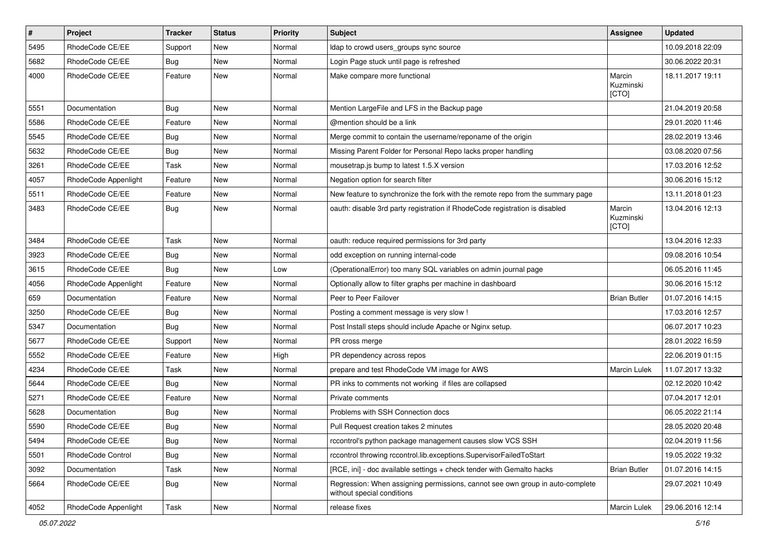| $\pmb{\#}$ | Project              | <b>Tracker</b> | <b>Status</b> | <b>Priority</b> | <b>Subject</b>                                                                                              | Assignee                     | <b>Updated</b>   |
|------------|----------------------|----------------|---------------|-----------------|-------------------------------------------------------------------------------------------------------------|------------------------------|------------------|
| 5495       | RhodeCode CE/EE      | Support        | New           | Normal          | Idap to crowd users_groups sync source                                                                      |                              | 10.09.2018 22:09 |
| 5682       | RhodeCode CE/EE      | Bug            | <b>New</b>    | Normal          | Login Page stuck until page is refreshed                                                                    |                              | 30.06.2022 20:31 |
| 4000       | RhodeCode CE/EE      | Feature        | <b>New</b>    | Normal          | Make compare more functional                                                                                | Marcin<br>Kuzminski<br>[CTO] | 18.11.2017 19:11 |
| 5551       | Documentation        | <b>Bug</b>     | <b>New</b>    | Normal          | Mention LargeFile and LFS in the Backup page                                                                |                              | 21.04.2019 20:58 |
| 5586       | RhodeCode CE/EE      | Feature        | New           | Normal          | @mention should be a link                                                                                   |                              | 29.01.2020 11:46 |
| 5545       | RhodeCode CE/EE      | Bug            | New           | Normal          | Merge commit to contain the username/reponame of the origin                                                 |                              | 28.02.2019 13:46 |
| 5632       | RhodeCode CE/EE      | <b>Bug</b>     | <b>New</b>    | Normal          | Missing Parent Folder for Personal Repo lacks proper handling                                               |                              | 03.08.2020 07:56 |
| 3261       | RhodeCode CE/EE      | Task           | <b>New</b>    | Normal          | mousetrap.js bump to latest 1.5.X version                                                                   |                              | 17.03.2016 12:52 |
| 4057       | RhodeCode Appenlight | Feature        | New           | Normal          | Negation option for search filter                                                                           |                              | 30.06.2016 15:12 |
| 5511       | RhodeCode CE/EE      | Feature        | New           | Normal          | New feature to synchronize the fork with the remote repo from the summary page                              |                              | 13.11.2018 01:23 |
| 3483       | RhodeCode CE/EE      | Bug            | <b>New</b>    | Normal          | oauth: disable 3rd party registration if RhodeCode registration is disabled                                 | Marcin<br>Kuzminski<br>[CTO] | 13.04.2016 12:13 |
| 3484       | RhodeCode CE/EE      | Task           | <b>New</b>    | Normal          | oauth: reduce required permissions for 3rd party                                                            |                              | 13.04.2016 12:33 |
| 3923       | RhodeCode CE/EE      | Bug            | <b>New</b>    | Normal          | odd exception on running internal-code                                                                      |                              | 09.08.2016 10:54 |
| 3615       | RhodeCode CE/EE      | Bug            | <b>New</b>    | Low             | (OperationalError) too many SQL variables on admin journal page                                             |                              | 06.05.2016 11:45 |
| 4056       | RhodeCode Appenlight | Feature        | New           | Normal          | Optionally allow to filter graphs per machine in dashboard                                                  |                              | 30.06.2016 15:12 |
| 659        | Documentation        | Feature        | New           | Normal          | Peer to Peer Failover                                                                                       | <b>Brian Butler</b>          | 01.07.2016 14:15 |
| 3250       | RhodeCode CE/EE      | Bug            | <b>New</b>    | Normal          | Posting a comment message is very slow !                                                                    |                              | 17.03.2016 12:57 |
| 5347       | Documentation        | Bug            | New           | Normal          | Post Install steps should include Apache or Nginx setup.                                                    |                              | 06.07.2017 10:23 |
| 5677       | RhodeCode CE/EE      | Support        | <b>New</b>    | Normal          | PR cross merge                                                                                              |                              | 28.01.2022 16:59 |
| 5552       | RhodeCode CE/EE      | Feature        | New           | High            | PR dependency across repos                                                                                  |                              | 22.06.2019 01:15 |
| 4234       | RhodeCode CE/EE      | Task           | New           | Normal          | prepare and test RhodeCode VM image for AWS                                                                 | Marcin Lulek                 | 11.07.2017 13:32 |
| 5644       | RhodeCode CE/EE      | Bug            | <b>New</b>    | Normal          | PR inks to comments not working if files are collapsed                                                      |                              | 02.12.2020 10:42 |
| 5271       | RhodeCode CE/EE      | Feature        | New           | Normal          | Private comments                                                                                            |                              | 07.04.2017 12:01 |
| 5628       | Documentation        | Bug            | New           | Normal          | Problems with SSH Connection docs                                                                           |                              | 06.05.2022 21:14 |
| 5590       | RhodeCode CE/EE      | <b>Bug</b>     | New           | Normal          | Pull Request creation takes 2 minutes                                                                       |                              | 28.05.2020 20:48 |
| 5494       | RhodeCode CE/EE      | <b>Bug</b>     | New           | Normal          | rccontrol's python package management causes slow VCS SSH                                                   |                              | 02.04.2019 11:56 |
| 5501       | RhodeCode Control    | Bug            | New           | Normal          | rccontrol throwing rccontrol.lib.exceptions.SupervisorFailedToStart                                         |                              | 19.05.2022 19:32 |
| 3092       | Documentation        | Task           | New           | Normal          | [RCE, ini] - doc available settings + check tender with Gemalto hacks                                       | <b>Brian Butler</b>          | 01.07.2016 14:15 |
| 5664       | RhodeCode CE/EE      | Bug            | New           | Normal          | Regression: When assigning permissions, cannot see own group in auto-complete<br>without special conditions |                              | 29.07.2021 10:49 |
| 4052       | RhodeCode Appenlight | Task           | New           | Normal          | release fixes                                                                                               | Marcin Lulek                 | 29.06.2016 12:14 |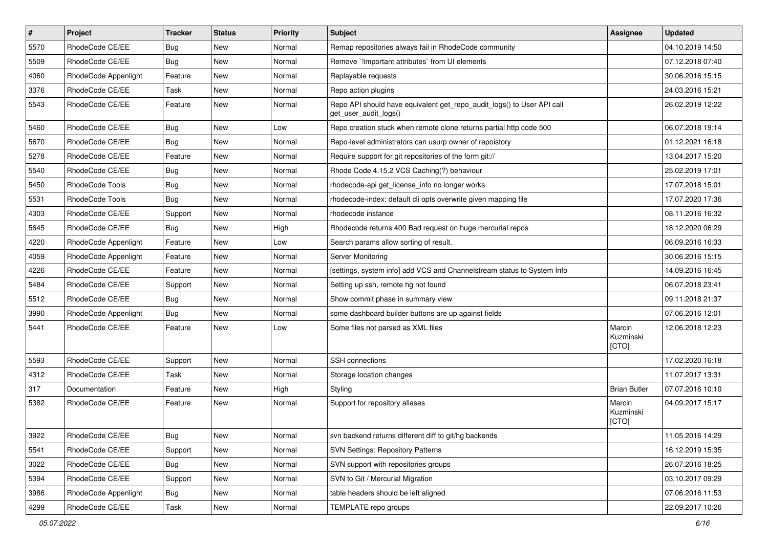| $\pmb{\#}$ | Project                | <b>Tracker</b> | <b>Status</b> | <b>Priority</b> | <b>Subject</b>                                                                                  | <b>Assignee</b>              | <b>Updated</b>   |
|------------|------------------------|----------------|---------------|-----------------|-------------------------------------------------------------------------------------------------|------------------------------|------------------|
| 5570       | RhodeCode CE/EE        | Bug            | New           | Normal          | Remap repositories always fail in RhodeCode community                                           |                              | 04.10.2019 14:50 |
| 5509       | RhodeCode CE/EE        | Bug            | <b>New</b>    | Normal          | Remove `!important attributes` from UI elements                                                 |                              | 07.12.2018 07:40 |
| 4060       | RhodeCode Appenlight   | Feature        | New           | Normal          | Replayable requests                                                                             |                              | 30.06.2016 15:15 |
| 3376       | RhodeCode CE/EE        | Task           | New           | Normal          | Repo action plugins                                                                             |                              | 24.03.2016 15:21 |
| 5543       | RhodeCode CE/EE        | Feature        | <b>New</b>    | Normal          | Repo API should have equivalent get_repo_audit_logs() to User API call<br>get user audit logs() |                              | 26.02.2019 12:22 |
| 5460       | RhodeCode CE/EE        | <b>Bug</b>     | <b>New</b>    | Low             | Repo creation stuck when remote clone returns partial http code 500                             |                              | 06.07.2018 19:14 |
| 5670       | RhodeCode CE/EE        | Bug            | <b>New</b>    | Normal          | Repo-level administrators can usurp owner of repoistory                                         |                              | 01.12.2021 16:18 |
| 5278       | RhodeCode CE/EE        | Feature        | New           | Normal          | Require support for git repositories of the form git://                                         |                              | 13.04.2017 15:20 |
| 5540       | RhodeCode CE/EE        | Bug            | <b>New</b>    | Normal          | Rhode Code 4.15.2 VCS Caching(?) behaviour                                                      |                              | 25.02.2019 17:01 |
| 5450       | RhodeCode Tools        | Bug            | New           | Normal          | rhodecode-api get license info no longer works                                                  |                              | 17.07.2018 15:01 |
| 5531       | <b>RhodeCode Tools</b> | Bug            | New           | Normal          | rhodecode-index: default cli opts overwrite given mapping file                                  |                              | 17.07.2020 17:36 |
| 4303       | RhodeCode CE/EE        | Support        | <b>New</b>    | Normal          | rhodecode instance                                                                              |                              | 08.11.2016 16:32 |
| 5645       | RhodeCode CE/EE        | Bug            | New           | High            | Rhodecode returns 400 Bad request on huge mercurial repos                                       |                              | 18.12.2020 06:29 |
| 4220       | RhodeCode Appenlight   | Feature        | <b>New</b>    | Low             | Search params allow sorting of result.                                                          |                              | 06.09.2016 16:33 |
| 4059       | RhodeCode Appenlight   | Feature        | New           | Normal          | Server Monitoring                                                                               |                              | 30.06.2016 15:15 |
| 4226       | RhodeCode CE/EE        | Feature        | New           | Normal          | [settings, system info] add VCS and Channelstream status to System Info                         |                              | 14.09.2016 16:45 |
| 5484       | RhodeCode CE/EE        | Support        | <b>New</b>    | Normal          | Setting up ssh, remote hg not found                                                             |                              | 06.07.2018 23:41 |
| 5512       | RhodeCode CE/EE        | Bug            | New           | Normal          | Show commit phase in summary view                                                               |                              | 09.11.2018 21:37 |
| 3990       | RhodeCode Appenlight   | Bug            | <b>New</b>    | Normal          | some dashboard builder buttons are up against fields                                            |                              | 07.06.2016 12:01 |
| 5441       | RhodeCode CE/EE        | Feature        | <b>New</b>    | Low             | Some files not parsed as XML files                                                              | Marcin<br>Kuzminski<br>[CTO] | 12.06.2018 12:23 |
| 5593       | RhodeCode CE/EE        | Support        | New           | Normal          | SSH connections                                                                                 |                              | 17.02.2020 16:18 |
| 4312       | RhodeCode CE/EE        | Task           | <b>New</b>    | Normal          | Storage location changes                                                                        |                              | 11.07.2017 13:31 |
| 317        | Documentation          | Feature        | <b>New</b>    | High            | Styling                                                                                         | <b>Brian Butler</b>          | 07.07.2016 10:10 |
| 5382       | RhodeCode CE/EE        | Feature        | New           | Normal          | Support for repository aliases                                                                  | Marcin<br>Kuzminski<br>[CTO] | 04.09.2017 15:17 |
| 3922       | RhodeCode CE/EE        | Bug            | New           | Normal          | svn backend returns different diff to git/hg backends                                           |                              | 11.05.2016 14:29 |
| 5541       | RhodeCode CE/EE        | Support        | New           | Normal          | <b>SVN Settings: Repository Patterns</b>                                                        |                              | 16.12.2019 15:35 |
| 3022       | RhodeCode CE/EE        | Bug            | New           | Normal          | SVN support with repositories groups                                                            |                              | 26.07.2016 18:25 |
| 5394       | RhodeCode CE/EE        | Support        | New           | Normal          | SVN to Git / Mercurial Migration                                                                |                              | 03.10.2017 09:29 |
| 3986       | RhodeCode Appenlight   | Bug            | New           | Normal          | table headers should be left aligned                                                            |                              | 07.06.2016 11:53 |
| 4299       | RhodeCode CE/EE        | Task           | New           | Normal          | TEMPLATE repo groups                                                                            |                              | 22.09.2017 10:26 |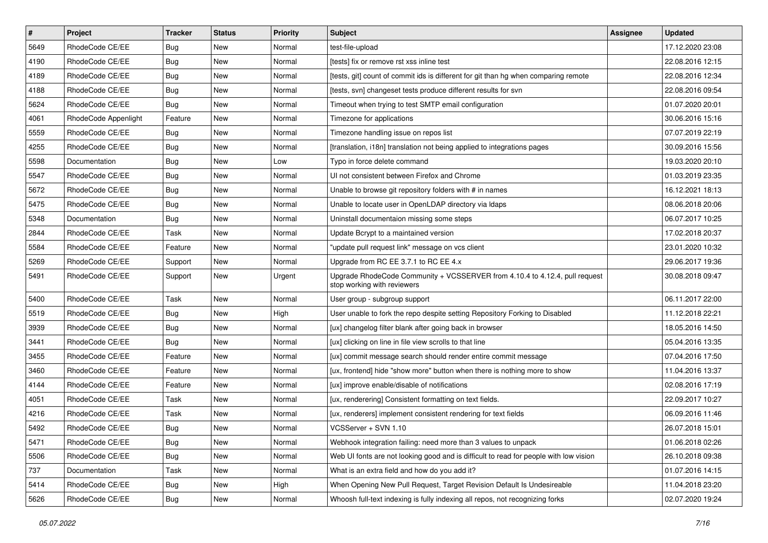| $\vert$ # | Project              | <b>Tracker</b> | <b>Status</b> | <b>Priority</b> | Subject                                                                                                    | <b>Assignee</b> | <b>Updated</b>   |
|-----------|----------------------|----------------|---------------|-----------------|------------------------------------------------------------------------------------------------------------|-----------------|------------------|
| 5649      | RhodeCode CE/EE      | Bug            | New           | Normal          | test-file-upload                                                                                           |                 | 17.12.2020 23:08 |
| 4190      | RhodeCode CE/EE      | Bug            | <b>New</b>    | Normal          | [tests] fix or remove rst xss inline test                                                                  |                 | 22.08.2016 12:15 |
| 4189      | RhodeCode CE/EE      | Bug            | New           | Normal          | [tests, git] count of commit ids is different for git than hg when comparing remote                        |                 | 22.08.2016 12:34 |
| 4188      | RhodeCode CE/EE      | Bug            | New           | Normal          | [tests, svn] changeset tests produce different results for svn                                             |                 | 22.08.2016 09:54 |
| 5624      | RhodeCode CE/EE      | Bug            | <b>New</b>    | Normal          | Timeout when trying to test SMTP email configuration                                                       |                 | 01.07.2020 20:01 |
| 4061      | RhodeCode Appenlight | Feature        | New           | Normal          | Timezone for applications                                                                                  |                 | 30.06.2016 15:16 |
| 5559      | RhodeCode CE/EE      | Bug            | <b>New</b>    | Normal          | Timezone handling issue on repos list                                                                      |                 | 07.07.2019 22:19 |
| 4255      | RhodeCode CE/EE      | Bug            | New           | Normal          | [translation, i18n] translation not being applied to integrations pages                                    |                 | 30.09.2016 15:56 |
| 5598      | Documentation        | Bug            | <b>New</b>    | Low             | Typo in force delete command                                                                               |                 | 19.03.2020 20:10 |
| 5547      | RhodeCode CE/EE      | Bug            | <b>New</b>    | Normal          | UI not consistent between Firefox and Chrome                                                               |                 | 01.03.2019 23:35 |
| 5672      | RhodeCode CE/EE      | Bug            | New           | Normal          | Unable to browse git repository folders with # in names                                                    |                 | 16.12.2021 18:13 |
| 5475      | RhodeCode CE/EE      | <b>Bug</b>     | New           | Normal          | Unable to locate user in OpenLDAP directory via Idaps                                                      |                 | 08.06.2018 20:06 |
| 5348      | Documentation        | Bug            | <b>New</b>    | Normal          | Uninstall documentaion missing some steps                                                                  |                 | 06.07.2017 10:25 |
| 2844      | RhodeCode CE/EE      | Task           | New           | Normal          | Update Bcrypt to a maintained version                                                                      |                 | 17.02.2018 20:37 |
| 5584      | RhodeCode CE/EE      | Feature        | <b>New</b>    | Normal          | "update pull request link" message on vcs client                                                           |                 | 23.01.2020 10:32 |
| 5269      | RhodeCode CE/EE      | Support        | New           | Normal          | Upgrade from RC EE 3.7.1 to RC EE 4.x                                                                      |                 | 29.06.2017 19:36 |
| 5491      | RhodeCode CE/EE      | Support        | <b>New</b>    | Urgent          | Upgrade RhodeCode Community + VCSSERVER from 4.10.4 to 4.12.4, pull request<br>stop working with reviewers |                 | 30.08.2018 09:47 |
| 5400      | RhodeCode CE/EE      | Task           | <b>New</b>    | Normal          | User group - subgroup support                                                                              |                 | 06.11.2017 22:00 |
| 5519      | RhodeCode CE/EE      | Bug            | New           | High            | User unable to fork the repo despite setting Repository Forking to Disabled                                |                 | 11.12.2018 22:21 |
| 3939      | RhodeCode CE/EE      | Bug            | <b>New</b>    | Normal          | [ux] changelog filter blank after going back in browser                                                    |                 | 18.05.2016 14:50 |
| 3441      | RhodeCode CE/EE      | Bug            | <b>New</b>    | Normal          | [ux] clicking on line in file view scrolls to that line                                                    |                 | 05.04.2016 13:35 |
| 3455      | RhodeCode CE/EE      | Feature        | <b>New</b>    | Normal          | [ux] commit message search should render entire commit message                                             |                 | 07.04.2016 17:50 |
| 3460      | RhodeCode CE/EE      | Feature        | New           | Normal          | [ux, frontend] hide "show more" button when there is nothing more to show                                  |                 | 11.04.2016 13:37 |
| 4144      | RhodeCode CE/EE      | Feature        | New           | Normal          | [ux] improve enable/disable of notifications                                                               |                 | 02.08.2016 17:19 |
| 4051      | RhodeCode CE/EE      | Task           | <b>New</b>    | Normal          | [ux, renderering] Consistent formatting on text fields.                                                    |                 | 22.09.2017 10:27 |
| 4216      | RhodeCode CE/EE      | Task           | New           | Normal          | [ux, renderers] implement consistent rendering for text fields                                             |                 | 06.09.2016 11:46 |
| 5492      | RhodeCode CE/EE      | Bug            | <b>New</b>    | Normal          | VCSServer + SVN 1.10                                                                                       |                 | 26.07.2018 15:01 |
| 5471      | RhodeCode CE/EE      | Bug            | New           | Normal          | Webhook integration failing: need more than 3 values to unpack                                             |                 | 01.06.2018 02:26 |
| 5506      | RhodeCode CE/EE      | <b>Bug</b>     | New           | Normal          | Web UI fonts are not looking good and is difficult to read for people with low vision                      |                 | 26.10.2018 09:38 |
| 737       | Documentation        | Task           | New           | Normal          | What is an extra field and how do you add it?                                                              |                 | 01.07.2016 14:15 |
| 5414      | RhodeCode CE/EE      | <b>Bug</b>     | New           | High            | When Opening New Pull Request, Target Revision Default Is Undesireable                                     |                 | 11.04.2018 23:20 |
| 5626      | RhodeCode CE/EE      | <b>Bug</b>     | New           | Normal          | Whoosh full-text indexing is fully indexing all repos, not recognizing forks                               |                 | 02.07.2020 19:24 |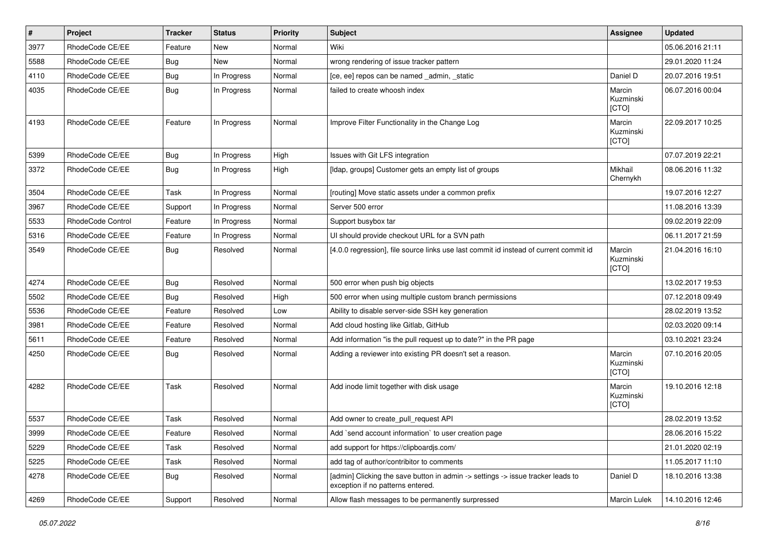| $\vert$ # | Project           | <b>Tracker</b> | <b>Status</b> | <b>Priority</b> | <b>Subject</b>                                                                                                       | Assignee                     | <b>Updated</b>   |
|-----------|-------------------|----------------|---------------|-----------------|----------------------------------------------------------------------------------------------------------------------|------------------------------|------------------|
| 3977      | RhodeCode CE/EE   | Feature        | New           | Normal          | Wiki                                                                                                                 |                              | 05.06.2016 21:11 |
| 5588      | RhodeCode CE/EE   | Bug            | New           | Normal          | wrong rendering of issue tracker pattern                                                                             |                              | 29.01.2020 11:24 |
| 4110      | RhodeCode CE/EE   | Bug            | In Progress   | Normal          | [ce, ee] repos can be named _admin, _static                                                                          | Daniel D                     | 20.07.2016 19:51 |
| 4035      | RhodeCode CE/EE   | Bug            | In Progress   | Normal          | failed to create whoosh index                                                                                        | Marcin<br>Kuzminski<br>[CTO] | 06.07.2016 00:04 |
| 4193      | RhodeCode CE/EE   | Feature        | In Progress   | Normal          | Improve Filter Functionality in the Change Log                                                                       | Marcin<br>Kuzminski<br>[CTO] | 22.09.2017 10:25 |
| 5399      | RhodeCode CE/EE   | Bug            | In Progress   | High            | Issues with Git LFS integration                                                                                      |                              | 07.07.2019 22:21 |
| 3372      | RhodeCode CE/EE   | Bug            | In Progress   | High            | [Idap, groups] Customer gets an empty list of groups                                                                 | Mikhail<br>Chernykh          | 08.06.2016 11:32 |
| 3504      | RhodeCode CE/EE   | Task           | In Progress   | Normal          | [routing] Move static assets under a common prefix                                                                   |                              | 19.07.2016 12:27 |
| 3967      | RhodeCode CE/EE   | Support        | In Progress   | Normal          | Server 500 error                                                                                                     |                              | 11.08.2016 13:39 |
| 5533      | RhodeCode Control | Feature        | In Progress   | Normal          | Support busybox tar                                                                                                  |                              | 09.02.2019 22:09 |
| 5316      | RhodeCode CE/EE   | Feature        | In Progress   | Normal          | UI should provide checkout URL for a SVN path                                                                        |                              | 06.11.2017 21:59 |
| 3549      | RhodeCode CE/EE   | Bug            | Resolved      | Normal          | [4.0.0 regression], file source links use last commit id instead of current commit id                                | Marcin<br>Kuzminski<br>[CTO] | 21.04.2016 16:10 |
| 4274      | RhodeCode CE/EE   | Bug            | Resolved      | Normal          | 500 error when push big objects                                                                                      |                              | 13.02.2017 19:53 |
| 5502      | RhodeCode CE/EE   | <b>Bug</b>     | Resolved      | High            | 500 error when using multiple custom branch permissions                                                              |                              | 07.12.2018 09:49 |
| 5536      | RhodeCode CE/EE   | Feature        | Resolved      | Low             | Ability to disable server-side SSH key generation                                                                    |                              | 28.02.2019 13:52 |
| 3981      | RhodeCode CE/EE   | Feature        | Resolved      | Normal          | Add cloud hosting like Gitlab, GitHub                                                                                |                              | 02.03.2020 09:14 |
| 5611      | RhodeCode CE/EE   | Feature        | Resolved      | Normal          | Add information "is the pull request up to date?" in the PR page                                                     |                              | 03.10.2021 23:24 |
| 4250      | RhodeCode CE/EE   | Bug            | Resolved      | Normal          | Adding a reviewer into existing PR doesn't set a reason.                                                             | Marcin<br>Kuzminski<br>[CTO] | 07.10.2016 20:05 |
| 4282      | RhodeCode CE/EE   | Task           | Resolved      | Normal          | Add inode limit together with disk usage                                                                             | Marcin<br>Kuzminski<br>[CTO] | 19.10.2016 12:18 |
| 5537      | RhodeCode CE/EE   | Task           | Resolved      | Normal          | Add owner to create_pull_request API                                                                                 |                              | 28.02.2019 13:52 |
| 3999      | RhodeCode CE/EE   | Feature        | Resolved      | Normal          | Add `send account information` to user creation page                                                                 |                              | 28.06.2016 15:22 |
| 5229      | RhodeCode CE/EE   | Task           | Resolved      | Normal          | add support for https://clipboardis.com/                                                                             |                              | 21.01.2020 02:19 |
| 5225      | RhodeCode CE/EE   | Task           | Resolved      | Normal          | add tag of author/contribitor to comments                                                                            |                              | 11.05.2017 11:10 |
| 4278      | RhodeCode CE/EE   | Bug            | Resolved      | Normal          | [admin] Clicking the save button in admin -> settings -> issue tracker leads to<br>exception if no patterns entered. | Daniel D                     | 18.10.2016 13:38 |
| 4269      | RhodeCode CE/EE   | Support        | Resolved      | Normal          | Allow flash messages to be permanently surpressed                                                                    | Marcin Lulek                 | 14.10.2016 12:46 |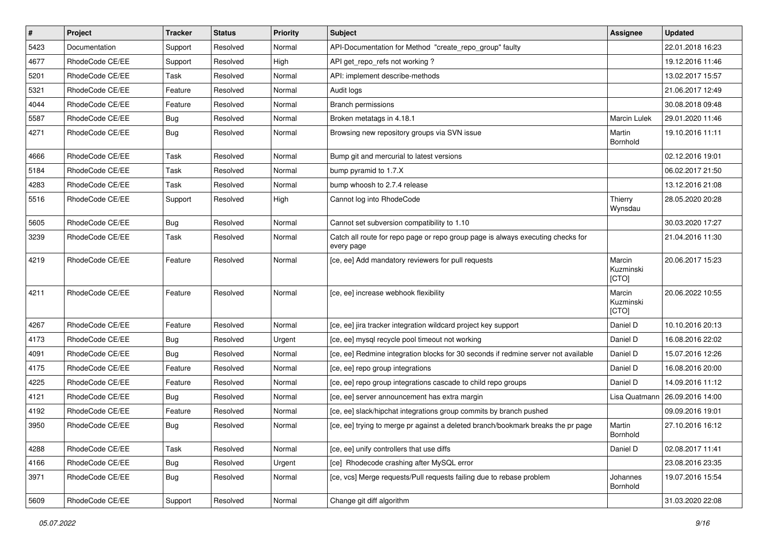| $\vert$ # | Project         | <b>Tracker</b> | <b>Status</b> | Priority | Subject                                                                                       | <b>Assignee</b>              | <b>Updated</b>   |
|-----------|-----------------|----------------|---------------|----------|-----------------------------------------------------------------------------------------------|------------------------------|------------------|
| 5423      | Documentation   | Support        | Resolved      | Normal   | API-Documentation for Method "create repo group" faulty                                       |                              | 22.01.2018 16:23 |
| 4677      | RhodeCode CE/EE | Support        | Resolved      | High     | API get_repo_refs not working?                                                                |                              | 19.12.2016 11:46 |
| 5201      | RhodeCode CE/EE | Task           | Resolved      | Normal   | API: implement describe-methods                                                               |                              | 13.02.2017 15:57 |
| 5321      | RhodeCode CE/EE | Feature        | Resolved      | Normal   | Audit logs                                                                                    |                              | 21.06.2017 12:49 |
| 4044      | RhodeCode CE/EE | Feature        | Resolved      | Normal   | Branch permissions                                                                            |                              | 30.08.2018 09:48 |
| 5587      | RhodeCode CE/EE | Bug            | Resolved      | Normal   | Broken metatags in 4.18.1                                                                     | <b>Marcin Lulek</b>          | 29.01.2020 11:46 |
| 4271      | RhodeCode CE/EE | Bug            | Resolved      | Normal   | Browsing new repository groups via SVN issue                                                  | Martin<br>Bornhold           | 19.10.2016 11:11 |
| 4666      | RhodeCode CE/EE | Task           | Resolved      | Normal   | Bump git and mercurial to latest versions                                                     |                              | 02.12.2016 19:01 |
| 5184      | RhodeCode CE/EE | Task           | Resolved      | Normal   | bump pyramid to 1.7.X                                                                         |                              | 06.02.2017 21:50 |
| 4283      | RhodeCode CE/EE | Task           | Resolved      | Normal   | bump whoosh to 2.7.4 release                                                                  |                              | 13.12.2016 21:08 |
| 5516      | RhodeCode CE/EE | Support        | Resolved      | High     | Cannot log into RhodeCode                                                                     | Thierry<br>Wynsdau           | 28.05.2020 20:28 |
| 5605      | RhodeCode CE/EE | Bug            | Resolved      | Normal   | Cannot set subversion compatibility to 1.10                                                   |                              | 30.03.2020 17:27 |
| 3239      | RhodeCode CE/EE | Task           | Resolved      | Normal   | Catch all route for repo page or repo group page is always executing checks for<br>every page |                              | 21.04.2016 11:30 |
| 4219      | RhodeCode CE/EE | Feature        | Resolved      | Normal   | [ce, ee] Add mandatory reviewers for pull requests                                            | Marcin<br>Kuzminski<br>[CTO] | 20.06.2017 15:23 |
| 4211      | RhodeCode CE/EE | Feature        | Resolved      | Normal   | [ce, ee] increase webhook flexibility                                                         | Marcin<br>Kuzminski<br>[CTO] | 20.06.2022 10:55 |
| 4267      | RhodeCode CE/EE | Feature        | Resolved      | Normal   | [ce, ee] jira tracker integration wildcard project key support                                | Daniel D                     | 10.10.2016 20:13 |
| 4173      | RhodeCode CE/EE | Bug            | Resolved      | Urgent   | [ce, ee] mysql recycle pool timeout not working                                               | Daniel D                     | 16.08.2016 22:02 |
| 4091      | RhodeCode CE/EE | Bug            | Resolved      | Normal   | [ce, ee] Redmine integration blocks for 30 seconds if redmine server not available            | Daniel D                     | 15.07.2016 12:26 |
| 4175      | RhodeCode CE/EE | Feature        | Resolved      | Normal   | [ce, ee] repo group integrations                                                              | Daniel D                     | 16.08.2016 20:00 |
| 4225      | RhodeCode CE/EE | Feature        | Resolved      | Normal   | [ce, ee] repo group integrations cascade to child repo groups                                 | Daniel D                     | 14.09.2016 11:12 |
| 4121      | RhodeCode CE/EE | Bug            | Resolved      | Normal   | [ce, ee] server announcement has extra margin                                                 | Lisa Quatmann                | 26.09.2016 14:00 |
| 4192      | RhodeCode CE/EE | Feature        | Resolved      | Normal   | [ce, ee] slack/hipchat integrations group commits by branch pushed                            |                              | 09.09.2016 19:01 |
| 3950      | RhodeCode CE/EE | Bug            | Resolved      | Normal   | [ce, ee] trying to merge pr against a deleted branch/bookmark breaks the pr page              | Martin<br>Bornhold           | 27.10.2016 16:12 |
| 4288      | RhodeCode CE/EE | Task           | Resolved      | Normal   | [ce, ee] unify controllers that use diffs                                                     | Daniel D                     | 02.08.2017 11:41 |
| 4166      | RhodeCode CE/EE | <b>Bug</b>     | Resolved      | Urgent   | [ce] Rhodecode crashing after MySQL error                                                     |                              | 23.08.2016 23:35 |
| 3971      | RhodeCode CE/EE | Bug            | Resolved      | Normal   | [ce, vcs] Merge requests/Pull requests failing due to rebase problem                          | Johannes<br>Bornhold         | 19.07.2016 15:54 |
| 5609      | RhodeCode CE/EE | Support        | Resolved      | Normal   | Change git diff algorithm                                                                     |                              | 31.03.2020 22:08 |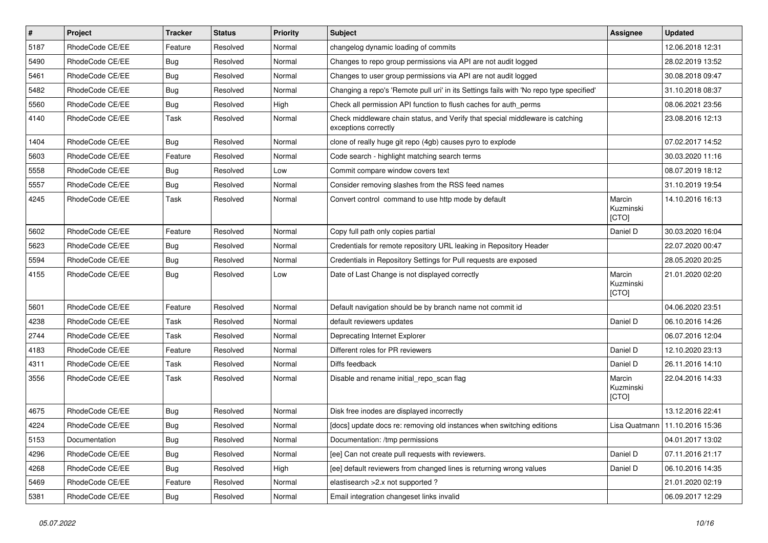| $\vert$ # | Project         | <b>Tracker</b> | <b>Status</b> | <b>Priority</b> | <b>Subject</b>                                                                                        | <b>Assignee</b>              | <b>Updated</b>                   |
|-----------|-----------------|----------------|---------------|-----------------|-------------------------------------------------------------------------------------------------------|------------------------------|----------------------------------|
| 5187      | RhodeCode CE/EE | Feature        | Resolved      | Normal          | changelog dynamic loading of commits                                                                  |                              | 12.06.2018 12:31                 |
| 5490      | RhodeCode CE/EE | Bug            | Resolved      | Normal          | Changes to repo group permissions via API are not audit logged                                        |                              | 28.02.2019 13:52                 |
| 5461      | RhodeCode CE/EE | Bug            | Resolved      | Normal          | Changes to user group permissions via API are not audit logged                                        |                              | 30.08.2018 09:47                 |
| 5482      | RhodeCode CE/EE | Bug            | Resolved      | Normal          | Changing a repo's 'Remote pull uri' in its Settings fails with 'No repo type specified'               |                              | 31.10.2018 08:37                 |
| 5560      | RhodeCode CE/EE | Bug            | Resolved      | High            | Check all permission API function to flush caches for auth_perms                                      |                              | 08.06.2021 23:56                 |
| 4140      | RhodeCode CE/EE | Task           | Resolved      | Normal          | Check middleware chain status, and Verify that special middleware is catching<br>exceptions correctly |                              | 23.08.2016 12:13                 |
| 1404      | RhodeCode CE/EE | Bug            | Resolved      | Normal          | clone of really huge git repo (4gb) causes pyro to explode                                            |                              | 07.02.2017 14:52                 |
| 5603      | RhodeCode CE/EE | Feature        | Resolved      | Normal          | Code search - highlight matching search terms                                                         |                              | 30.03.2020 11:16                 |
| 5558      | RhodeCode CE/EE | Bug            | Resolved      | Low             | Commit compare window covers text                                                                     |                              | 08.07.2019 18:12                 |
| 5557      | RhodeCode CE/EE | <b>Bug</b>     | Resolved      | Normal          | Consider removing slashes from the RSS feed names                                                     |                              | 31.10.2019 19:54                 |
| 4245      | RhodeCode CE/EE | Task           | Resolved      | Normal          | Convert control command to use http mode by default                                                   | Marcin<br>Kuzminski<br>[CTO] | 14.10.2016 16:13                 |
| 5602      | RhodeCode CE/EE | Feature        | Resolved      | Normal          | Copy full path only copies partial                                                                    | Daniel D                     | 30.03.2020 16:04                 |
| 5623      | RhodeCode CE/EE | Bug            | Resolved      | Normal          | Credentials for remote repository URL leaking in Repository Header                                    |                              | 22.07.2020 00:47                 |
| 5594      | RhodeCode CE/EE | Bug            | Resolved      | Normal          | Credentials in Repository Settings for Pull requests are exposed                                      |                              | 28.05.2020 20:25                 |
| 4155      | RhodeCode CE/EE | Bug            | Resolved      | Low             | Date of Last Change is not displayed correctly                                                        | Marcin<br>Kuzminski<br>[CTO] | 21.01.2020 02:20                 |
| 5601      | RhodeCode CE/EE | Feature        | Resolved      | Normal          | Default navigation should be by branch name not commit id                                             |                              | 04.06.2020 23:51                 |
| 4238      | RhodeCode CE/EE | Task           | Resolved      | Normal          | default reviewers updates                                                                             | Daniel D                     | 06.10.2016 14:26                 |
| 2744      | RhodeCode CE/EE | Task           | Resolved      | Normal          | Deprecating Internet Explorer                                                                         |                              | 06.07.2016 12:04                 |
| 4183      | RhodeCode CE/EE | Feature        | Resolved      | Normal          | Different roles for PR reviewers                                                                      | Daniel D                     | 12.10.2020 23:13                 |
| 4311      | RhodeCode CE/EE | Task           | Resolved      | Normal          | Diffs feedback                                                                                        | Daniel D                     | 26.11.2016 14:10                 |
| 3556      | RhodeCode CE/EE | Task           | Resolved      | Normal          | Disable and rename initial_repo_scan flag                                                             | Marcin<br>Kuzminski<br>[CTO] | 22.04.2016 14:33                 |
| 4675      | RhodeCode CE/EE | <b>Bug</b>     | Resolved      | Normal          | Disk free inodes are displayed incorrectly                                                            |                              | 13.12.2016 22:41                 |
| 4224      | RhodeCode CE/EE | Bug            | Resolved      | Normal          | [docs] update docs re: removing old instances when switching editions                                 |                              | Lisa Quatmann   11.10.2016 15:36 |
| 5153      | Documentation   | <b>Bug</b>     | Resolved      | Normal          | Documentation: /tmp permissions                                                                       |                              | 04.01.2017 13:02                 |
| 4296      | RhodeCode CE/EE | Bug            | Resolved      | Normal          | [ee] Can not create pull requests with reviewers.                                                     | Daniel D                     | 07.11.2016 21:17                 |
| 4268      | RhodeCode CE/EE | <b>Bug</b>     | Resolved      | High            | [ee] default reviewers from changed lines is returning wrong values                                   | Daniel D                     | 06.10.2016 14:35                 |
| 5469      | RhodeCode CE/EE | Feature        | Resolved      | Normal          | elastisearch > 2.x not supported ?                                                                    |                              | 21.01.2020 02:19                 |
| 5381      | RhodeCode CE/EE | Bug            | Resolved      | Normal          | Email integration changeset links invalid                                                             |                              | 06.09.2017 12:29                 |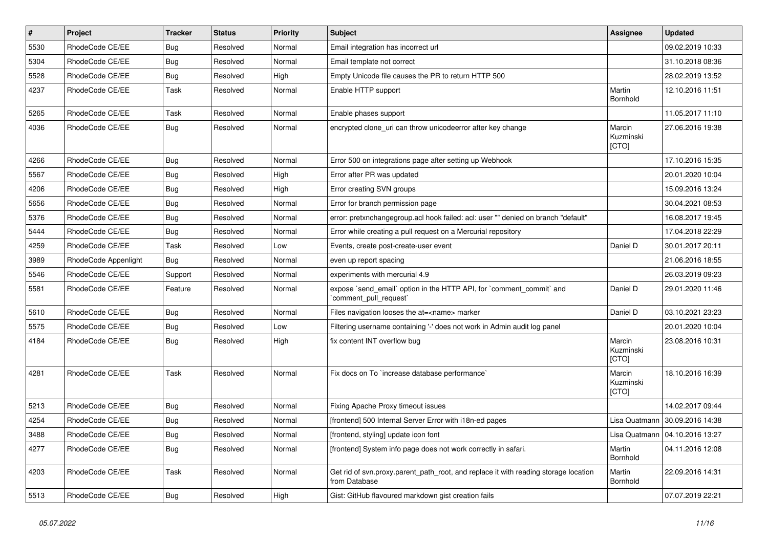| #    | Project              | <b>Tracker</b> | <b>Status</b> | <b>Priority</b> | <b>Subject</b>                                                                                       | <b>Assignee</b>              | <b>Updated</b>                   |
|------|----------------------|----------------|---------------|-----------------|------------------------------------------------------------------------------------------------------|------------------------------|----------------------------------|
| 5530 | RhodeCode CE/EE      | Bug            | Resolved      | Normal          | Email integration has incorrect url                                                                  |                              | 09.02.2019 10:33                 |
| 5304 | RhodeCode CE/EE      | Bug            | Resolved      | Normal          | Email template not correct                                                                           |                              | 31.10.2018 08:36                 |
| 5528 | RhodeCode CE/EE      | Bug            | Resolved      | High            | Empty Unicode file causes the PR to return HTTP 500                                                  |                              | 28.02.2019 13:52                 |
| 4237 | RhodeCode CE/EE      | Task           | Resolved      | Normal          | Enable HTTP support                                                                                  | Martin<br>Bornhold           | 12.10.2016 11:51                 |
| 5265 | RhodeCode CE/EE      | Task           | Resolved      | Normal          | Enable phases support                                                                                |                              | 11.05.2017 11:10                 |
| 4036 | RhodeCode CE/EE      | Bug            | Resolved      | Normal          | encrypted clone_uri can throw unicodeerror after key change                                          | Marcin<br>Kuzminski<br>[CTO] | 27.06.2016 19:38                 |
| 4266 | RhodeCode CE/EE      | Bug            | Resolved      | Normal          | Error 500 on integrations page after setting up Webhook                                              |                              | 17.10.2016 15:35                 |
| 5567 | RhodeCode CE/EE      | <b>Bug</b>     | Resolved      | High            | Error after PR was updated                                                                           |                              | 20.01.2020 10:04                 |
| 4206 | RhodeCode CE/EE      | Bug            | Resolved      | High            | Error creating SVN groups                                                                            |                              | 15.09.2016 13:24                 |
| 5656 | RhodeCode CE/EE      | Bug            | Resolved      | Normal          | Error for branch permission page                                                                     |                              | 30.04.2021 08:53                 |
| 5376 | RhodeCode CE/EE      | Bug            | Resolved      | Normal          | error: pretxnchangegroup.acl hook failed: acl: user "" denied on branch "default"                    |                              | 16.08.2017 19:45                 |
| 5444 | RhodeCode CE/EE      | <b>Bug</b>     | Resolved      | Normal          | Error while creating a pull request on a Mercurial repository                                        |                              | 17.04.2018 22:29                 |
| 4259 | RhodeCode CE/EE      | Task           | Resolved      | Low             | Events, create post-create-user event                                                                | Daniel D                     | 30.01.2017 20:11                 |
| 3989 | RhodeCode Appenlight | Bug            | Resolved      | Normal          | even up report spacing                                                                               |                              | 21.06.2016 18:55                 |
| 5546 | RhodeCode CE/EE      | Support        | Resolved      | Normal          | experiments with mercurial 4.9                                                                       |                              | 26.03.2019 09:23                 |
| 5581 | RhodeCode CE/EE      | Feature        | Resolved      | Normal          | expose `send_email` option in the HTTP API, for `comment_commit` and<br>`comment_pull_request`       | Daniel D                     | 29.01.2020 11:46                 |
| 5610 | RhodeCode CE/EE      | Bug            | Resolved      | Normal          | Files navigation looses the at= <name> marker</name>                                                 | Daniel D                     | 03.10.2021 23:23                 |
| 5575 | RhodeCode CE/EE      | Bug            | Resolved      | Low             | Filtering username containing '-' does not work in Admin audit log panel                             |                              | 20.01.2020 10:04                 |
| 4184 | RhodeCode CE/EE      | Bug            | Resolved      | High            | fix content INT overflow bug                                                                         | Marcin<br>Kuzminski<br>[CTO] | 23.08.2016 10:31                 |
| 4281 | RhodeCode CE/EE      | Task           | Resolved      | Normal          | Fix docs on To `increase database performance`                                                       | Marcin<br>Kuzminski<br>[CTO] | 18.10.2016 16:39                 |
| 5213 | RhodeCode CE/EE      | Bug            | Resolved      | Normal          | Fixing Apache Proxy timeout issues                                                                   |                              | 14.02.2017 09:44                 |
| 4254 | RhodeCode CE/EE      | Bug            | Resolved      | Normal          | [frontend] 500 Internal Server Error with i18n-ed pages                                              |                              | Lisa Quatmann   30.09.2016 14:38 |
| 3488 | RhodeCode CE/EE      | <b>Bug</b>     | Resolved      | Normal          | [frontend, styling] update icon font                                                                 |                              | Lisa Quatmann   04.10.2016 13:27 |
| 4277 | RhodeCode CE/EE      | Bug            | Resolved      | Normal          | [frontend] System info page does not work correctly in safari.                                       | Martin<br>Bornhold           | 04.11.2016 12:08                 |
| 4203 | RhodeCode CE/EE      | Task           | Resolved      | Normal          | Get rid of svn.proxy.parent_path_root, and replace it with reading storage location<br>from Database | Martin<br>Bornhold           | 22.09.2016 14:31                 |
| 5513 | RhodeCode CE/EE      | <b>Bug</b>     | Resolved      | High            | Gist: GitHub flavoured markdown gist creation fails                                                  |                              | 07.07.2019 22:21                 |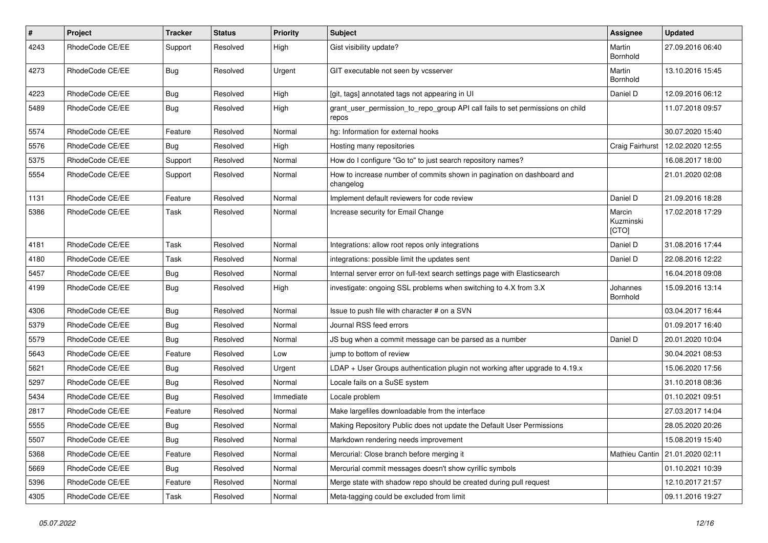| $\vert$ # | Project         | <b>Tracker</b> | <b>Status</b> | <b>Priority</b> | <b>Subject</b>                                                                          | <b>Assignee</b>              | <b>Updated</b>                    |
|-----------|-----------------|----------------|---------------|-----------------|-----------------------------------------------------------------------------------------|------------------------------|-----------------------------------|
| 4243      | RhodeCode CE/EE | Support        | Resolved      | High            | Gist visibility update?                                                                 | Martin<br>Bornhold           | 27.09.2016 06:40                  |
| 4273      | RhodeCode CE/EE | <b>Bug</b>     | Resolved      | Urgent          | GIT executable not seen by vcsserver                                                    | Martin<br>Bornhold           | 13.10.2016 15:45                  |
| 4223      | RhodeCode CE/EE | Bug            | Resolved      | High            | [git, tags] annotated tags not appearing in UI                                          | Daniel D                     | 12.09.2016 06:12                  |
| 5489      | RhodeCode CE/EE | Bug            | Resolved      | High            | grant_user_permission_to_repo_group API call fails to set permissions on child<br>repos |                              | 11.07.2018 09:57                  |
| 5574      | RhodeCode CE/EE | Feature        | Resolved      | Normal          | hg: Information for external hooks                                                      |                              | 30.07.2020 15:40                  |
| 5576      | RhodeCode CE/EE | <b>Bug</b>     | Resolved      | High            | Hosting many repositories                                                               | Craig Fairhurst              | 12.02.2020 12:55                  |
| 5375      | RhodeCode CE/EE | Support        | Resolved      | Normal          | How do I configure "Go to" to just search repository names?                             |                              | 16.08.2017 18:00                  |
| 5554      | RhodeCode CE/EE | Support        | Resolved      | Normal          | How to increase number of commits shown in pagination on dashboard and<br>changelog     |                              | 21.01.2020 02:08                  |
| 1131      | RhodeCode CE/EE | Feature        | Resolved      | Normal          | Implement default reviewers for code review                                             | Daniel D                     | 21.09.2016 18:28                  |
| 5386      | RhodeCode CE/EE | Task           | Resolved      | Normal          | Increase security for Email Change                                                      | Marcin<br>Kuzminski<br>[CTO] | 17.02.2018 17:29                  |
| 4181      | RhodeCode CE/EE | Task           | Resolved      | Normal          | Integrations: allow root repos only integrations                                        | Daniel D                     | 31.08.2016 17:44                  |
| 4180      | RhodeCode CE/EE | Task           | Resolved      | Normal          | integrations: possible limit the updates sent                                           | Daniel D                     | 22.08.2016 12:22                  |
| 5457      | RhodeCode CE/EE | Bug            | Resolved      | Normal          | Internal server error on full-text search settings page with Elasticsearch              |                              | 16.04.2018 09:08                  |
| 4199      | RhodeCode CE/EE | Bug            | Resolved      | High            | investigate: ongoing SSL problems when switching to 4.X from 3.X                        | Johannes<br>Bornhold         | 15.09.2016 13:14                  |
| 4306      | RhodeCode CE/EE | Bug            | Resolved      | Normal          | Issue to push file with character # on a SVN                                            |                              | 03.04.2017 16:44                  |
| 5379      | RhodeCode CE/EE | <b>Bug</b>     | Resolved      | Normal          | Journal RSS feed errors                                                                 |                              | 01.09.2017 16:40                  |
| 5579      | RhodeCode CE/EE | Bug            | Resolved      | Normal          | JS bug when a commit message can be parsed as a number                                  | Daniel D                     | 20.01.2020 10:04                  |
| 5643      | RhodeCode CE/EE | Feature        | Resolved      | Low             | jump to bottom of review                                                                |                              | 30.04.2021 08:53                  |
| 5621      | RhodeCode CE/EE | <b>Bug</b>     | Resolved      | Urgent          | LDAP + User Groups authentication plugin not working after upgrade to 4.19.x            |                              | 15.06.2020 17:56                  |
| 5297      | RhodeCode CE/EE | <b>Bug</b>     | Resolved      | Normal          | Locale fails on a SuSE system                                                           |                              | 31.10.2018 08:36                  |
| 5434      | RhodeCode CE/EE | Bug            | Resolved      | Immediate       | Locale problem                                                                          |                              | 01.10.2021 09:51                  |
| 2817      | RhodeCode CE/EE | Feature        | Resolved      | Normal          | Make largefiles downloadable from the interface                                         |                              | 27.03.2017 14:04                  |
| 5555      | RhodeCode CE/EE | Bug            | Resolved      | Normal          | Making Repository Public does not update the Default User Permissions                   |                              | 28.05.2020 20:26                  |
| 5507      | RhodeCode CE/EE | <b>Bug</b>     | Resolved      | Normal          | Markdown rendering needs improvement                                                    |                              | 15.08.2019 15:40                  |
| 5368      | RhodeCode CE/EE | Feature        | Resolved      | Normal          | Mercurial: Close branch before merging it                                               |                              | Mathieu Cantin   21.01.2020 02:11 |
| 5669      | RhodeCode CE/EE | Bug            | Resolved      | Normal          | Mercurial commit messages doesn't show cyrillic symbols                                 |                              | 01.10.2021 10:39                  |
| 5396      | RhodeCode CE/EE | Feature        | Resolved      | Normal          | Merge state with shadow repo should be created during pull request                      |                              | 12.10.2017 21:57                  |
| 4305      | RhodeCode CE/EE | Task           | Resolved      | Normal          | Meta-tagging could be excluded from limit                                               |                              | 09.11.2016 19:27                  |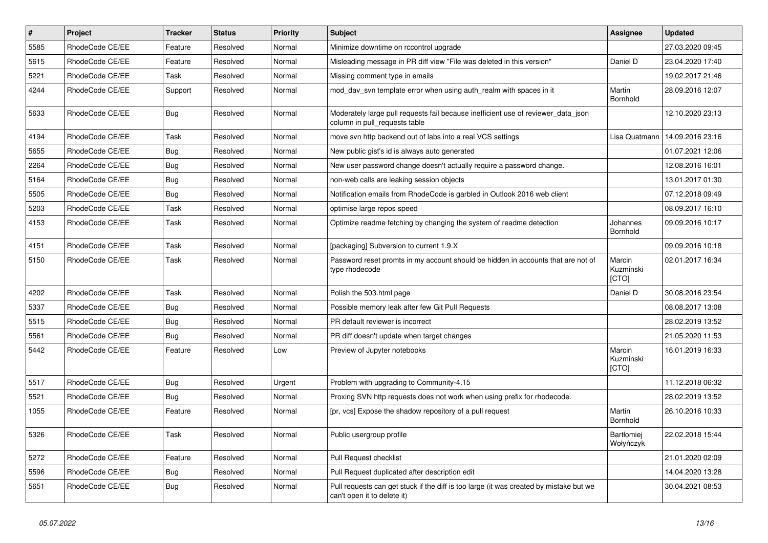| $\vert$ # | Project         | <b>Tracker</b> | <b>Status</b> | <b>Priority</b> | <b>Subject</b>                                                                                                        | Assignee                       | <b>Updated</b>   |
|-----------|-----------------|----------------|---------------|-----------------|-----------------------------------------------------------------------------------------------------------------------|--------------------------------|------------------|
| 5585      | RhodeCode CE/EE | Feature        | Resolved      | Normal          | Minimize downtime on rccontrol upgrade                                                                                |                                | 27.03.2020 09:45 |
| 5615      | RhodeCode CE/EE | Feature        | Resolved      | Normal          | Misleading message in PR diff view "File was deleted in this version"                                                 | Daniel D                       | 23.04.2020 17:40 |
| 5221      | RhodeCode CE/EE | Task           | Resolved      | Normal          | Missing comment type in emails                                                                                        |                                | 19.02.2017 21:46 |
| 4244      | RhodeCode CE/EE | Support        | Resolved      | Normal          | mod day syn template error when using auth realm with spaces in it                                                    | Martin<br>Bornhold             | 28.09.2016 12:07 |
| 5633      | RhodeCode CE/EE | <b>Bug</b>     | Resolved      | Normal          | Moderately large pull requests fail because inefficient use of reviewer data json<br>column in pull requests table    |                                | 12.10.2020 23:13 |
| 4194      | RhodeCode CE/EE | Task           | Resolved      | Normal          | move svn http backend out of labs into a real VCS settings                                                            | Lisa Quatmann                  | 14.09.2016 23:16 |
| 5655      | RhodeCode CE/EE | Bug            | Resolved      | Normal          | New public gist's id is always auto generated                                                                         |                                | 01.07.2021 12:06 |
| 2264      | RhodeCode CE/EE | Bug            | Resolved      | Normal          | New user password change doesn't actually require a password change.                                                  |                                | 12.08.2016 16:01 |
| 5164      | RhodeCode CE/EE | Bug            | Resolved      | Normal          | non-web calls are leaking session objects                                                                             |                                | 13.01.2017 01:30 |
| 5505      | RhodeCode CE/EE | Bug            | Resolved      | Normal          | Notification emails from RhodeCode is garbled in Outlook 2016 web client                                              |                                | 07.12.2018 09:49 |
| 5203      | RhodeCode CE/EE | Task           | Resolved      | Normal          | optimise large repos speed                                                                                            |                                | 08.09.2017 16:10 |
| 4153      | RhodeCode CE/EE | Task           | Resolved      | Normal          | Optimize readme fetching by changing the system of readme detection                                                   | Johannes<br>Bornhold           | 09.09.2016 10:17 |
| 4151      | RhodeCode CE/EE | Task           | Resolved      | Normal          | [packaging] Subversion to current 1.9.X                                                                               |                                | 09.09.2016 10:18 |
| 5150      | RhodeCode CE/EE | Task           | Resolved      | Normal          | Password reset promts in my account should be hidden in accounts that are not of<br>type rhodecode                    | Marcin<br>Kuzminski<br>[CTO]   | 02.01.2017 16:34 |
| 4202      | RhodeCode CE/EE | Task           | Resolved      | Normal          | Polish the 503.html page                                                                                              | Daniel D                       | 30.08.2016 23:54 |
| 5337      | RhodeCode CE/EE | Bug            | Resolved      | Normal          | Possible memory leak after few Git Pull Requests                                                                      |                                | 08.08.2017 13:08 |
| 5515      | RhodeCode CE/EE | Bug            | Resolved      | Normal          | PR default reviewer is incorrect                                                                                      |                                | 28.02.2019 13:52 |
| 5561      | RhodeCode CE/EE | Bug            | Resolved      | Normal          | PR diff doesn't update when target changes                                                                            |                                | 21.05.2020 11:53 |
| 5442      | RhodeCode CE/EE | Feature        | Resolved      | Low             | Preview of Jupyter notebooks                                                                                          | Marcin<br>Kuzminski<br>[CTO]   | 16.01.2019 16:33 |
| 5517      | RhodeCode CE/EE | <b>Bug</b>     | Resolved      | Urgent          | Problem with upgrading to Community-4.15                                                                              |                                | 11.12.2018 06:32 |
| 5521      | RhodeCode CE/EE | Bug            | Resolved      | Normal          | Proxing SVN http requests does not work when using prefix for rhodecode.                                              |                                | 28.02.2019 13:52 |
| 1055      | RhodeCode CE/EE | Feature        | Resolved      | Normal          | [pr, vcs] Expose the shadow repository of a pull request                                                              | Martin<br>Bornhold             | 26.10.2016 10:33 |
| 5326      | RhodeCode CE/EE | Task           | Resolved      | Normal          | Public usergroup profile                                                                                              | <b>Bartłomiej</b><br>Wołyńczyk | 22.02.2018 15:44 |
| 5272      | RhodeCode CE/EE | Feature        | Resolved      | Normal          | Pull Request checklist                                                                                                |                                | 21.01.2020 02:09 |
| 5596      | RhodeCode CE/EE | Bug            | Resolved      | Normal          | Pull Request duplicated after description edit                                                                        |                                | 14.04.2020 13:28 |
| 5651      | RhodeCode CE/EE | Bug            | Resolved      | Normal          | Pull requests can get stuck if the diff is too large (it was created by mistake but we<br>can't open it to delete it) |                                | 30.04.2021 08:53 |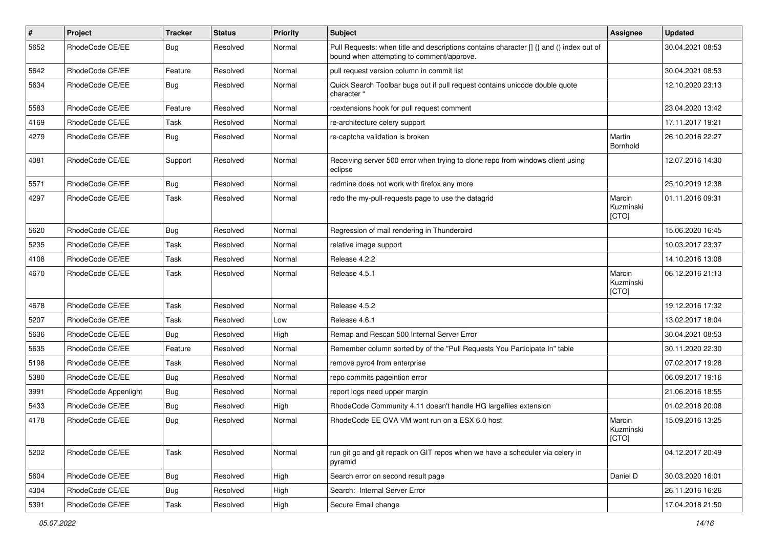| #    | Project              | <b>Tracker</b> | <b>Status</b> | <b>Priority</b> | Subject                                                                                                                              | <b>Assignee</b>              | <b>Updated</b>   |
|------|----------------------|----------------|---------------|-----------------|--------------------------------------------------------------------------------------------------------------------------------------|------------------------------|------------------|
| 5652 | RhodeCode CE/EE      | Bug            | Resolved      | Normal          | Pull Requests: when title and descriptions contains character [] {} and () index out of<br>bound when attempting to comment/approve. |                              | 30.04.2021 08:53 |
| 5642 | RhodeCode CE/EE      | Feature        | Resolved      | Normal          | pull request version column in commit list                                                                                           |                              | 30.04.2021 08:53 |
| 5634 | RhodeCode CE/EE      | Bug            | Resolved      | Normal          | Quick Search Toolbar bugs out if pull request contains unicode double quote<br>character "                                           |                              | 12.10.2020 23:13 |
| 5583 | RhodeCode CE/EE      | Feature        | Resolved      | Normal          | rcextensions hook for pull request comment                                                                                           |                              | 23.04.2020 13:42 |
| 4169 | RhodeCode CE/EE      | Task           | Resolved      | Normal          | re-architecture celery support                                                                                                       |                              | 17.11.2017 19:21 |
| 4279 | RhodeCode CE/EE      | Bug            | Resolved      | Normal          | re-captcha validation is broken                                                                                                      | Martin<br>Bornhold           | 26.10.2016 22:27 |
| 4081 | RhodeCode CE/EE      | Support        | Resolved      | Normal          | Receiving server 500 error when trying to clone repo from windows client using<br>eclipse                                            |                              | 12.07.2016 14:30 |
| 5571 | RhodeCode CE/EE      | Bug            | Resolved      | Normal          | redmine does not work with firefox any more                                                                                          |                              | 25.10.2019 12:38 |
| 4297 | RhodeCode CE/EE      | Task           | Resolved      | Normal          | redo the my-pull-requests page to use the datagrid                                                                                   | Marcin<br>Kuzminski<br>[CTO] | 01.11.2016 09:31 |
| 5620 | RhodeCode CE/EE      | Bug            | Resolved      | Normal          | Regression of mail rendering in Thunderbird                                                                                          |                              | 15.06.2020 16:45 |
| 5235 | RhodeCode CE/EE      | Task           | Resolved      | Normal          | relative image support                                                                                                               |                              | 10.03.2017 23:37 |
| 4108 | RhodeCode CE/EE      | Task           | Resolved      | Normal          | Release 4.2.2                                                                                                                        |                              | 14.10.2016 13:08 |
| 4670 | RhodeCode CE/EE      | Task           | Resolved      | Normal          | Release 4.5.1                                                                                                                        | Marcin<br>Kuzminski<br>[CTO] | 06.12.2016 21:13 |
| 4678 | RhodeCode CE/EE      | Task           | Resolved      | Normal          | Release 4.5.2                                                                                                                        |                              | 19.12.2016 17:32 |
| 5207 | RhodeCode CE/EE      | Task           | Resolved      | Low             | Release 4.6.1                                                                                                                        |                              | 13.02.2017 18:04 |
| 5636 | RhodeCode CE/EE      | Bug            | Resolved      | High            | Remap and Rescan 500 Internal Server Error                                                                                           |                              | 30.04.2021 08:53 |
| 5635 | RhodeCode CE/EE      | Feature        | Resolved      | Normal          | Remember column sorted by of the "Pull Requests You Participate In" table                                                            |                              | 30.11.2020 22:30 |
| 5198 | RhodeCode CE/EE      | Task           | Resolved      | Normal          | remove pyro4 from enterprise                                                                                                         |                              | 07.02.2017 19:28 |
| 5380 | RhodeCode CE/EE      | Bug            | Resolved      | Normal          | repo commits pageintion error                                                                                                        |                              | 06.09.2017 19:16 |
| 3991 | RhodeCode Appenlight | Bug            | Resolved      | Normal          | report logs need upper margin                                                                                                        |                              | 21.06.2016 18:55 |
| 5433 | RhodeCode CE/EE      | Bug            | Resolved      | High            | RhodeCode Community 4.11 doesn't handle HG largefiles extension                                                                      |                              | 01.02.2018 20:08 |
| 4178 | RhodeCode CE/EE      | Bug            | Resolved      | Normal          | RhodeCode EE OVA VM wont run on a ESX 6.0 host                                                                                       | Marcin<br>Kuzminski<br>[CTO] | 15.09.2016 13:25 |
| 5202 | RhodeCode CE/EE      | Task           | Resolved      | Normal          | run git gc and git repack on GIT repos when we have a scheduler via celery in<br>pyramid                                             |                              | 04.12.2017 20:49 |
| 5604 | RhodeCode CE/EE      | Bug            | Resolved      | High            | Search error on second result page                                                                                                   | Daniel D                     | 30.03.2020 16:01 |
| 4304 | RhodeCode CE/EE      | Bug            | Resolved      | High            | Search: Internal Server Error                                                                                                        |                              | 26.11.2016 16:26 |
| 5391 | RhodeCode CE/EE      | Task           | Resolved      | High            | Secure Email change                                                                                                                  |                              | 17.04.2018 21:50 |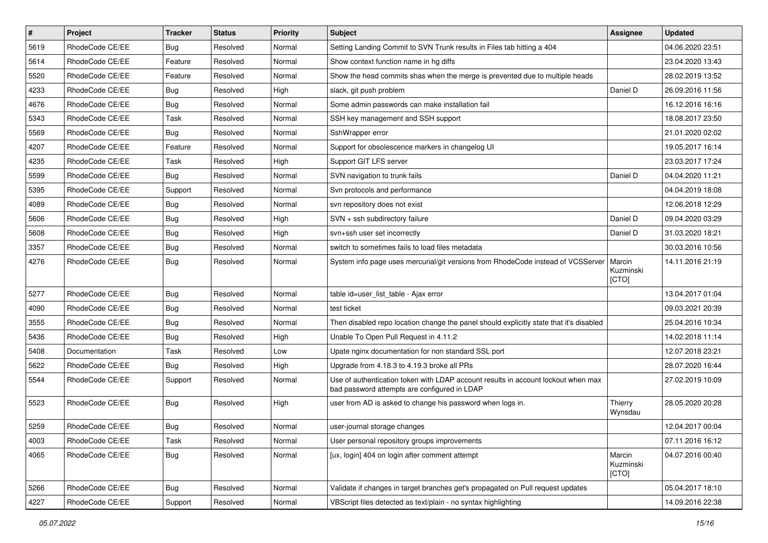| $\vert$ # | Project         | <b>Tracker</b> | <b>Status</b> | Priority | <b>Subject</b>                                                                                                                    | <b>Assignee</b>              | <b>Updated</b>   |
|-----------|-----------------|----------------|---------------|----------|-----------------------------------------------------------------------------------------------------------------------------------|------------------------------|------------------|
| 5619      | RhodeCode CE/EE | Bug            | Resolved      | Normal   | Setting Landing Commit to SVN Trunk results in Files tab hitting a 404                                                            |                              | 04.06.2020 23:51 |
| 5614      | RhodeCode CE/EE | Feature        | Resolved      | Normal   | Show context function name in hg diffs                                                                                            |                              | 23.04.2020 13:43 |
| 5520      | RhodeCode CE/EE | Feature        | Resolved      | Normal   | Show the head commits shas when the merge is prevented due to multiple heads                                                      |                              | 28.02.2019 13:52 |
| 4233      | RhodeCode CE/EE | Bug            | Resolved      | High     | slack, git push problem                                                                                                           | Daniel D                     | 26.09.2016 11:56 |
| 4676      | RhodeCode CE/EE | Bug            | Resolved      | Normal   | Some admin passwords can make installation fail                                                                                   |                              | 16.12.2016 16:16 |
| 5343      | RhodeCode CE/EE | Task           | Resolved      | Normal   | SSH key management and SSH support                                                                                                |                              | 18.08.2017 23:50 |
| 5569      | RhodeCode CE/EE | Bug            | Resolved      | Normal   | SshWrapper error                                                                                                                  |                              | 21.01.2020 02:02 |
| 4207      | RhodeCode CE/EE | Feature        | Resolved      | Normal   | Support for obsolescence markers in changelog UI                                                                                  |                              | 19.05.2017 16:14 |
| 4235      | RhodeCode CE/EE | Task           | Resolved      | High     | Support GIT LFS server                                                                                                            |                              | 23.03.2017 17:24 |
| 5599      | RhodeCode CE/EE | Bug            | Resolved      | Normal   | SVN navigation to trunk fails                                                                                                     | Daniel D                     | 04.04.2020 11:21 |
| 5395      | RhodeCode CE/EE | Support        | Resolved      | Normal   | Svn protocols and performance                                                                                                     |                              | 04.04.2019 18:08 |
| 4089      | RhodeCode CE/EE | Bug            | Resolved      | Normal   | svn repository does not exist                                                                                                     |                              | 12.06.2018 12:29 |
| 5606      | RhodeCode CE/EE | Bug            | Resolved      | High     | SVN + ssh subdirectory failure                                                                                                    | Daniel D                     | 09.04.2020 03:29 |
| 5608      | RhodeCode CE/EE | Bug            | Resolved      | High     | svn+ssh user set incorrectly                                                                                                      | Daniel D                     | 31.03.2020 18:21 |
| 3357      | RhodeCode CE/EE | Bug            | Resolved      | Normal   | switch to sometimes fails to load files metadata                                                                                  |                              | 30.03.2016 10:56 |
| 4276      | RhodeCode CE/EE | Bug            | Resolved      | Normal   | System info page uses mercurial/git versions from RhodeCode instead of VCSServer                                                  | Marcin<br>Kuzminski<br>[CTO] | 14.11.2016 21:19 |
| 5277      | RhodeCode CE/EE | Bug            | Resolved      | Normal   | table id=user list table - Ajax error                                                                                             |                              | 13.04.2017 01:04 |
| 4090      | RhodeCode CE/EE | Bug            | Resolved      | Normal   | test ticket                                                                                                                       |                              | 09.03.2021 20:39 |
| 3555      | RhodeCode CE/EE | Bug            | Resolved      | Normal   | Then disabled repo location change the panel should explicitly state that it's disabled                                           |                              | 25.04.2016 10:34 |
| 5436      | RhodeCode CE/EE | Bug            | Resolved      | High     | Unable To Open Pull Request in 4.11.2                                                                                             |                              | 14.02.2018 11:14 |
| 5408      | Documentation   | Task           | Resolved      | Low      | Upate nginx documentation for non standard SSL port                                                                               |                              | 12.07.2018 23:21 |
| 5622      | RhodeCode CE/EE | Bug            | Resolved      | High     | Upgrade from 4.18.3 to 4.19.3 broke all PRs                                                                                       |                              | 28.07.2020 16:44 |
| 5544      | RhodeCode CE/EE | Support        | Resolved      | Normal   | Use of authentication token with LDAP account results in account lockout when max<br>bad password attempts are configured in LDAP |                              | 27.02.2019 10:09 |
| 5523      | RhodeCode CE/EE | Bug            | Resolved      | High     | user from AD is asked to change his password when logs in.                                                                        | Thierry<br>Wynsdau           | 28.05.2020 20:28 |
| 5259      | RhodeCode CE/EE | Bug            | Resolved      | Normal   | user-journal storage changes                                                                                                      |                              | 12.04.2017 00:04 |
| 4003      | RhodeCode CE/EE | Task           | Resolved      | Normal   | User personal repository groups improvements                                                                                      |                              | 07.11.2016 16:12 |
| 4065      | RhodeCode CE/EE | Bug            | Resolved      | Normal   | [ux, login] 404 on login after comment attempt                                                                                    | Marcin<br>Kuzminski<br>[CTO] | 04.07.2016 00:40 |
| 5266      | RhodeCode CE/EE | Bug            | Resolved      | Normal   | Validate if changes in target branches get's propagated on Pull request updates                                                   |                              | 05.04.2017 18:10 |
| 4227      | RhodeCode CE/EE | Support        | Resolved      | Normal   | VBScript files detected as text/plain - no syntax highlighting                                                                    |                              | 14.09.2016 22:38 |